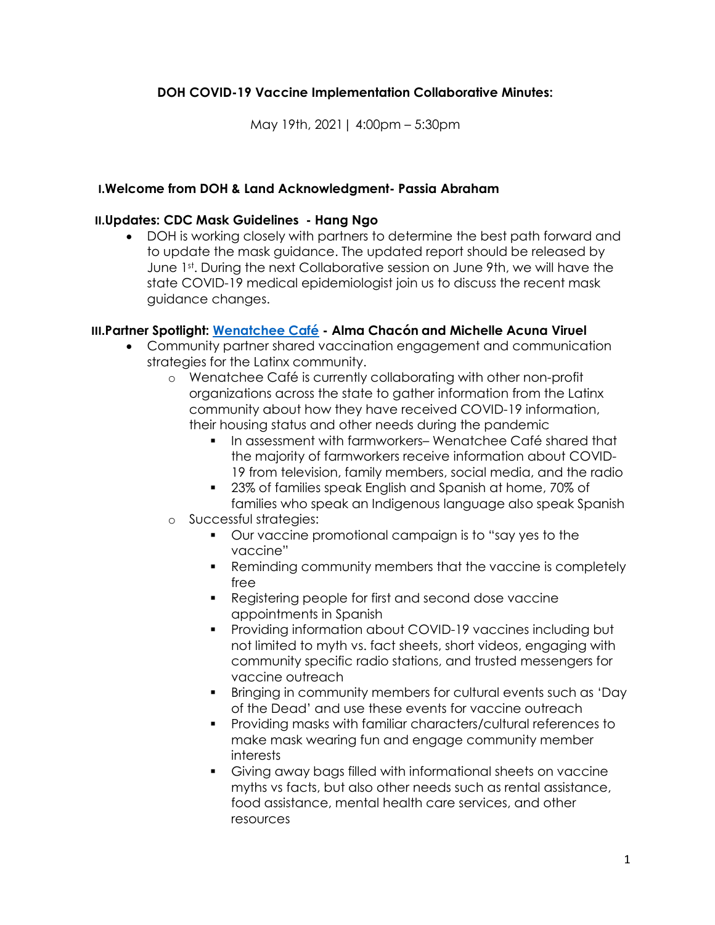## DOH COVID-19 Vaccine Implementation Collaborative Minutes:

May 19th, 2021| 4:00pm – 5:30pm

### I.Welcome from DOH & Land Acknowledgment- Passia Abraham

#### II.Updates: CDC Mask Guidelines - Hang Ngo

 DOH is working closely with partners to determine the best path forward and to update the mask guidance. The updated report should be released by June 1st. During the next Collaborative session on June 9th, we will have the state COVID-19 medical epidemiologist join us to discuss the recent mask guidance changes.

### III.Partner Spotlight: Wenatchee Café - Alma Chacón and Michelle Acuna Viruel

- Community partner shared vaccination engagement and communication strategies for the Latinx community.
	- o Wenatchee Café is currently collaborating with other non-profit organizations across the state to gather information from the Latinx community about how they have received COVID-19 information, their housing status and other needs during the pandemic
		- In assessment with farmworkers– Wenatchee Café shared that the majority of farmworkers receive information about COVID-19 from television, family members, social media, and the radio
		- 23% of families speak English and Spanish at home, 70% of families who speak an Indigenous language also speak Spanish
	- o Successful strategies:
		- Our vaccine promotional campaign is to "say yes to the vaccine"
		- Reminding community members that the vaccine is completely free
		- **Registering people for first and second dose vaccine** appointments in Spanish
		- Providing information about COVID-19 vaccines including but not limited to myth vs. fact sheets, short videos, engaging with community specific radio stations, and trusted messengers for vaccine outreach
		- Bringing in community members for cultural events such as 'Day of the Dead' and use these events for vaccine outreach
		- Providing masks with familiar characters/cultural references to make mask wearing fun and engage community member interests
		- Giving away bags filled with informational sheets on vaccine myths vs facts, but also other needs such as rental assistance, food assistance, mental health care services, and other resources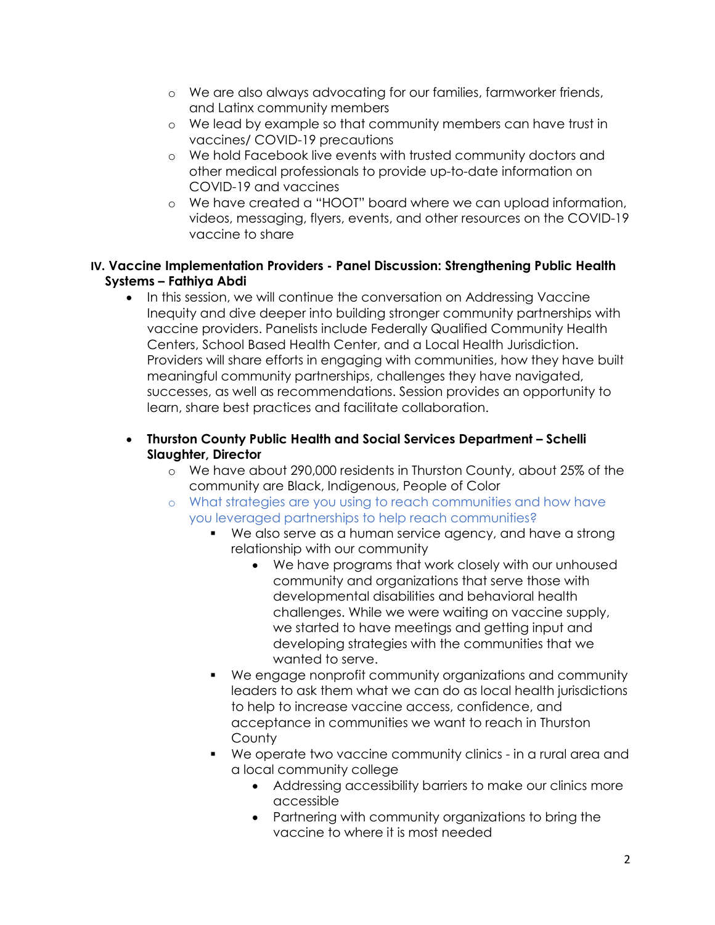- o We are also always advocating for our families, farmworker friends, and Latinx community members
- o We lead by example so that community members can have trust in vaccines/ COVID-19 precautions
- o We hold Facebook live events with trusted community doctors and other medical professionals to provide up-to-date information on COVID-19 and vaccines
- o We have created a "HOOT" board where we can upload information, videos, messaging, flyers, events, and other resources on the COVID-19 vaccine to share

### IV. Vaccine Implementation Providers - Panel Discussion: Strengthening Public Health Systems – Fathiya Abdi

• In this session, we will continue the conversation on Addressing Vaccine Inequity and dive deeper into building stronger community partnerships with vaccine providers. Panelists include Federally Qualified Community Health Centers, School Based Health Center, and a Local Health Jurisdiction. Providers will share efforts in engaging with communities, how they have built meaningful community partnerships, challenges they have navigated, successes, as well as recommendations. Session provides an opportunity to learn, share best practices and facilitate collaboration.

## Thurston County Public Health and Social Services Department – Schelli Slaughter, Director

- o We have about 290,000 residents in Thurston County, about 25% of the community are Black, Indigenous, People of Color
- o What strategies are you using to reach communities and how have you leveraged partnerships to help reach communities?
	- We also serve as a human service agency, and have a strong relationship with our community
		- We have programs that work closely with our unhoused community and organizations that serve those with developmental disabilities and behavioral health challenges. While we were waiting on vaccine supply, we started to have meetings and getting input and developing strategies with the communities that we wanted to serve.
	- We engage nonprofit community organizations and community leaders to ask them what we can do as local health jurisdictions to help to increase vaccine access, confidence, and acceptance in communities we want to reach in Thurston **County**
	- We operate two vaccine community clinics in a rural area and a local community college
		- Addressing accessibility barriers to make our clinics more accessible
		- Partnering with community organizations to bring the vaccine to where it is most needed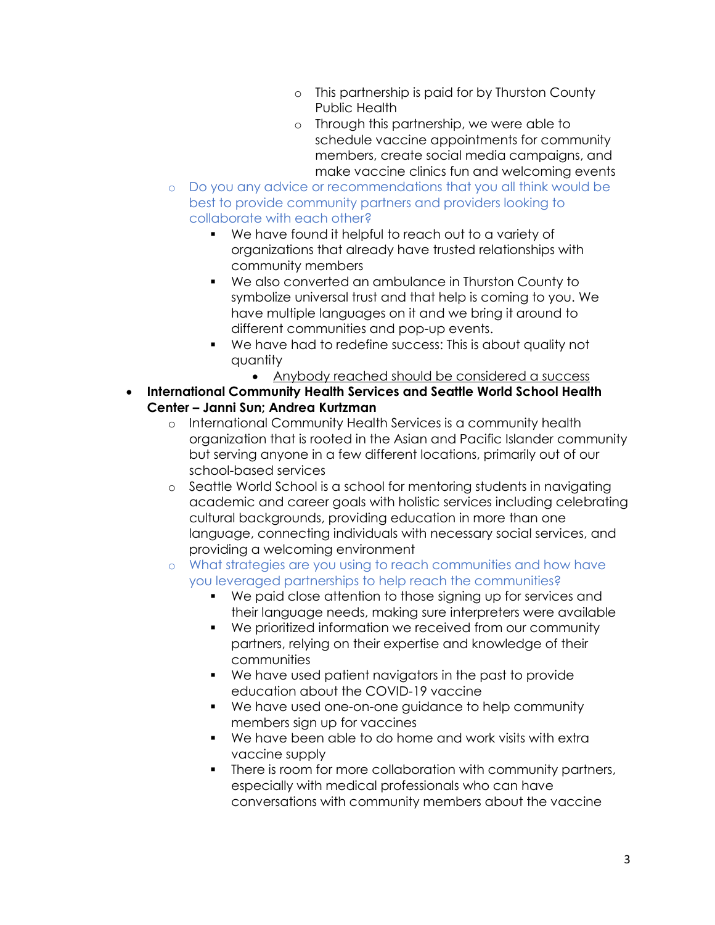- o This partnership is paid for by Thurston County Public Health
- o Through this partnership, we were able to schedule vaccine appointments for community members, create social media campaigns, and make vaccine clinics fun and welcoming events
- o Do you any advice or recommendations that you all think would be best to provide community partners and providers looking to collaborate with each other?
	- We have found it helpful to reach out to a variety of organizations that already have trusted relationships with community members
	- We also converted an ambulance in Thurston County to symbolize universal trust and that help is coming to you. We have multiple languages on it and we bring it around to different communities and pop-up events.
	- We have had to redefine success: This is about quality not quantity
		- Anybody reached should be considered a success
- International Community Health Services and Seattle World School Health Center – Janni Sun; Andrea Kurtzman
	- o International Community Health Services is a community health organization that is rooted in the Asian and Pacific Islander community but serving anyone in a few different locations, primarily out of our school-based services
	- o Seattle World School is a school for mentoring students in navigating academic and career goals with holistic services including celebrating cultural backgrounds, providing education in more than one language, connecting individuals with necessary social services, and providing a welcoming environment
	- o What strategies are you using to reach communities and how have you leveraged partnerships to help reach the communities?
		- We paid close attention to those signing up for services and their language needs, making sure interpreters were available
		- We prioritized information we received from our community partners, relying on their expertise and knowledge of their communities
		- We have used patient navigators in the past to provide education about the COVID-19 vaccine
		- We have used one-on-one guidance to help community members sign up for vaccines
		- We have been able to do home and work visits with extra vaccine supply
		- There is room for more collaboration with community partners, especially with medical professionals who can have conversations with community members about the vaccine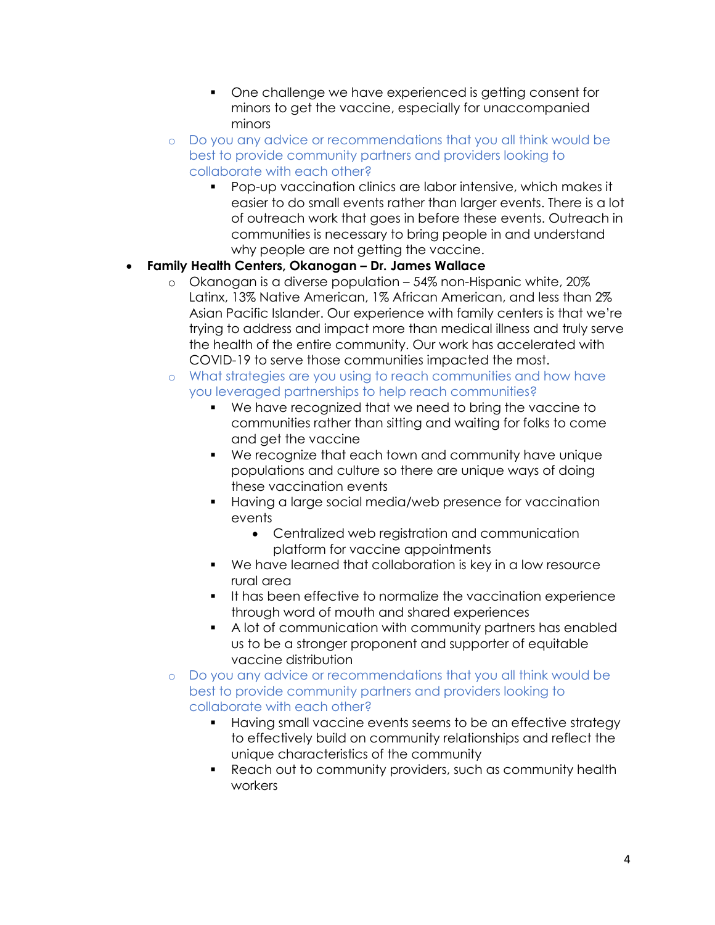- One challenge we have experienced is getting consent for minors to get the vaccine, especially for unaccompanied minors
- o Do you any advice or recommendations that you all think would be best to provide community partners and providers looking to collaborate with each other?
	- Pop-up vaccination clinics are labor intensive, which makes it easier to do small events rather than larger events. There is a lot of outreach work that goes in before these events. Outreach in communities is necessary to bring people in and understand why people are not getting the vaccine.

## Family Health Centers, Okanogan – Dr. James Wallace

- o Okanogan is a diverse population 54% non-Hispanic white, 20% Latinx, 13% Native American, 1% African American, and less than 2% Asian Pacific Islander. Our experience with family centers is that we're trying to address and impact more than medical illness and truly serve the health of the entire community. Our work has accelerated with COVID-19 to serve those communities impacted the most.
- o What strategies are you using to reach communities and how have you leveraged partnerships to help reach communities?
	- We have recognized that we need to bring the vaccine to communities rather than sitting and waiting for folks to come and get the vaccine
	- We recognize that each town and community have unique populations and culture so there are unique ways of doing these vaccination events
	- Having a large social media/web presence for vaccination events
		- Centralized web registration and communication platform for vaccine appointments
	- We have learned that collaboration is key in a low resource rural area
	- It has been effective to normalize the vaccination experience through word of mouth and shared experiences
	- A lot of communication with community partners has enabled us to be a stronger proponent and supporter of equitable vaccine distribution
- o Do you any advice or recommendations that you all think would be best to provide community partners and providers looking to collaborate with each other?
	- Having small vaccine events seems to be an effective strategy to effectively build on community relationships and reflect the unique characteristics of the community
	- Reach out to community providers, such as community health workers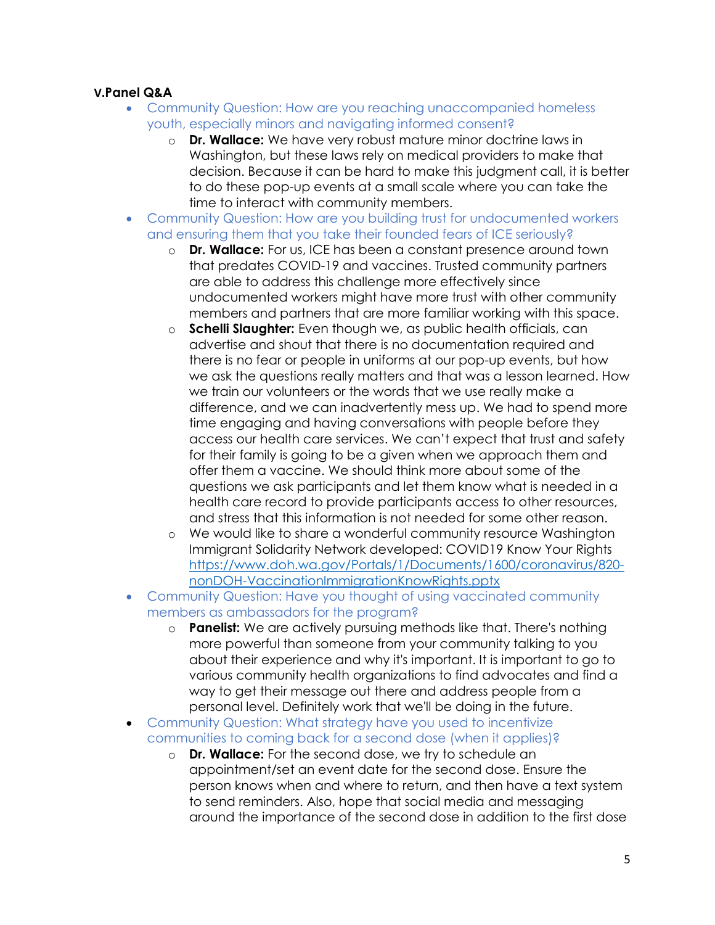## V.Panel Q&A

- Community Question: How are you reaching unaccompanied homeless youth, especially minors and navigating informed consent?
	- o **Dr. Wallace:** We have very robust mature minor doctrine laws in Washington, but these laws rely on medical providers to make that decision. Because it can be hard to make this judgment call, it is better to do these pop-up events at a small scale where you can take the time to interact with community members.
- Community Question: How are you building trust for undocumented workers and ensuring them that you take their founded fears of ICE seriously?
	- o **Dr. Wallace:** For us, ICE has been a constant presence around town that predates COVID-19 and vaccines. Trusted community partners are able to address this challenge more effectively since undocumented workers might have more trust with other community members and partners that are more familiar working with this space.
	- $\circ$  Schelli Slaughter: Even though we, as public health officials, can advertise and shout that there is no documentation required and there is no fear or people in uniforms at our pop-up events, but how we ask the questions really matters and that was a lesson learned. How we train our volunteers or the words that we use really make a difference, and we can inadvertently mess up. We had to spend more time engaging and having conversations with people before they access our health care services. We can't expect that trust and safety for their family is going to be a given when we approach them and offer them a vaccine. We should think more about some of the questions we ask participants and let them know what is needed in a health care record to provide participants access to other resources, and stress that this information is not needed for some other reason.
	- o We would like to share a wonderful community resource Washington Immigrant Solidarity Network developed: COVID19 Know Your Rights https://www.doh.wa.gov/Portals/1/Documents/1600/coronavirus/820 nonDOH-VaccinationImmigrationKnowRights.pptx
- Community Question: Have you thought of using vaccinated community members as ambassadors for the program?
	- $\circ$  **Panelist:** We are actively pursuing methods like that. There's nothing more powerful than someone from your community talking to you about their experience and why it's important. It is important to go to various community health organizations to find advocates and find a way to get their message out there and address people from a personal level. Definitely work that we'll be doing in the future.
- Community Question: What strategy have you used to incentivize communities to coming back for a second dose (when it applies)?
	- o **Dr. Wallace:** For the second dose, we try to schedule an appointment/set an event date for the second dose. Ensure the person knows when and where to return, and then have a text system to send reminders. Also, hope that social media and messaging around the importance of the second dose in addition to the first dose